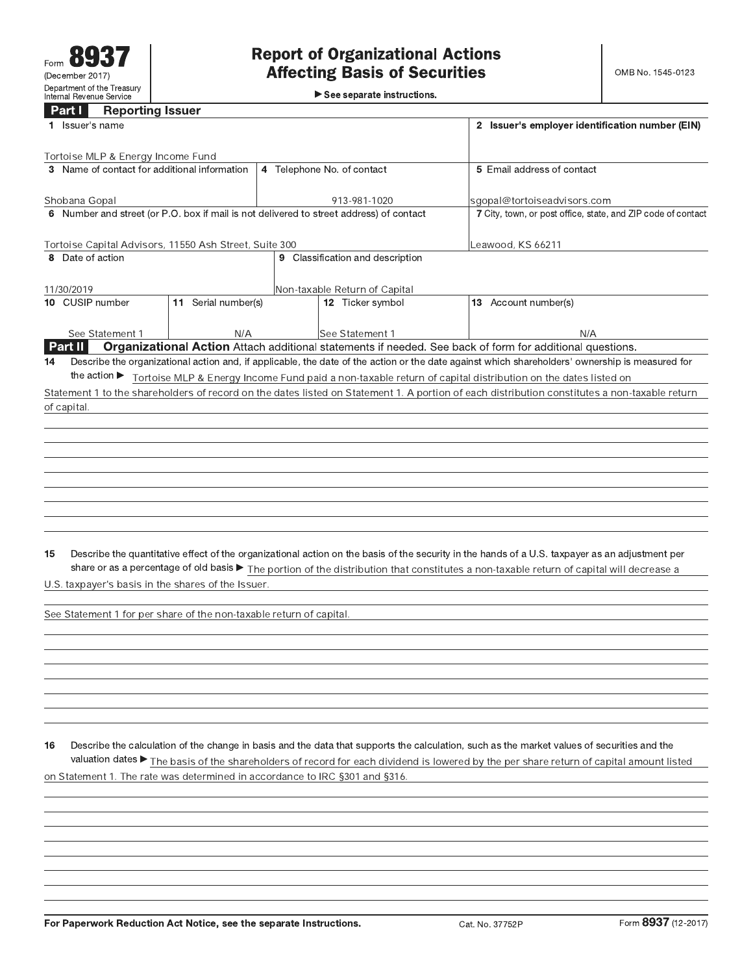See separate instructions.

## **Contract**

|    | Part I<br><b>Reporting Issuer</b><br>1 Issuer's name                |                     |                                                                                         | 2 Issuer's employer identification number (EIN)                                                                                                                                                                                                                                             |
|----|---------------------------------------------------------------------|---------------------|-----------------------------------------------------------------------------------------|---------------------------------------------------------------------------------------------------------------------------------------------------------------------------------------------------------------------------------------------------------------------------------------------|
|    | Tortoise MLP & Energy Income Fund                                   |                     |                                                                                         |                                                                                                                                                                                                                                                                                             |
|    | 3 Name of contact for additional information                        |                     | 4 Telephone No. of contact                                                              | 5 Email address of contact                                                                                                                                                                                                                                                                  |
|    | Shobana Gopal                                                       |                     | 913-981-1020                                                                            | sgopal@tortoiseadvisors.com                                                                                                                                                                                                                                                                 |
|    |                                                                     |                     | 6 Number and street (or P.O. box if mail is not delivered to street address) of contact | 7 City, town, or post office, state, and ZIP code of contact                                                                                                                                                                                                                                |
|    | Tortoise Capital Advisors, 11550 Ash Street, Suite 300              |                     |                                                                                         | Leawood, KS 66211                                                                                                                                                                                                                                                                           |
|    | 8 Date of action                                                    |                     | 9 Classification and description                                                        |                                                                                                                                                                                                                                                                                             |
|    | 11/30/2019                                                          |                     | Non-taxable Return of Capital                                                           |                                                                                                                                                                                                                                                                                             |
|    | 10 CUSIP number                                                     | 11 Serial number(s) | 12 Ticker symbol                                                                        | 13 Account number(s)                                                                                                                                                                                                                                                                        |
|    | See Statement 1                                                     | N/A                 | <b>See Statement 1</b>                                                                  | N/A                                                                                                                                                                                                                                                                                         |
|    | <b>Part II</b>                                                      |                     |                                                                                         | Organizational Action Attach additional statements if needed. See back of form for additional questions.                                                                                                                                                                                    |
| 14 |                                                                     |                     |                                                                                         | Describe the organizational action and, if applicable, the date of the action or the date against which shareholders' ownership is measured for                                                                                                                                             |
|    | the action $\blacktriangleright$                                    |                     |                                                                                         | Tortoise MLP & Energy Income Fund paid a non-taxable return of capital distribution on the dates listed on                                                                                                                                                                                  |
|    |                                                                     |                     |                                                                                         | Statement 1 to the shareholders of record on the dates listed on Statement 1. A portion of each distribution constitutes a non-taxable return                                                                                                                                               |
|    | of capital.                                                         |                     |                                                                                         |                                                                                                                                                                                                                                                                                             |
|    |                                                                     |                     |                                                                                         |                                                                                                                                                                                                                                                                                             |
|    |                                                                     |                     |                                                                                         |                                                                                                                                                                                                                                                                                             |
|    |                                                                     |                     |                                                                                         |                                                                                                                                                                                                                                                                                             |
|    |                                                                     |                     |                                                                                         |                                                                                                                                                                                                                                                                                             |
|    |                                                                     |                     |                                                                                         |                                                                                                                                                                                                                                                                                             |
|    |                                                                     |                     |                                                                                         |                                                                                                                                                                                                                                                                                             |
|    |                                                                     |                     |                                                                                         |                                                                                                                                                                                                                                                                                             |
|    |                                                                     |                     |                                                                                         |                                                                                                                                                                                                                                                                                             |
|    |                                                                     |                     |                                                                                         |                                                                                                                                                                                                                                                                                             |
| 15 |                                                                     |                     |                                                                                         | Describe the quantitative effect of the organizational action on the basis of the security in the hands of a U.S. taxpayer as an adjustment per<br>share or as a percentage of old basis > The portion of the distribution that constitutes a non-taxable return of capital will decrease a |
|    | U.S. taxpayer's basis in the shares of the Issuer.                  |                     |                                                                                         |                                                                                                                                                                                                                                                                                             |
|    | See Statement 1 for per share of the non-taxable return of capital. |                     |                                                                                         |                                                                                                                                                                                                                                                                                             |
|    |                                                                     |                     |                                                                                         |                                                                                                                                                                                                                                                                                             |
|    |                                                                     |                     |                                                                                         |                                                                                                                                                                                                                                                                                             |
|    |                                                                     |                     |                                                                                         |                                                                                                                                                                                                                                                                                             |

Describe the calculation of the change in basis and the data that supports the calculation, such as the market values of securities and the  $16$ valuation dates ► The basis of the shareholders of record for each dividend is lowered by the per share return of capital amount listed on Statement 1. The rate was determined in accordance to IRC §301 and §316.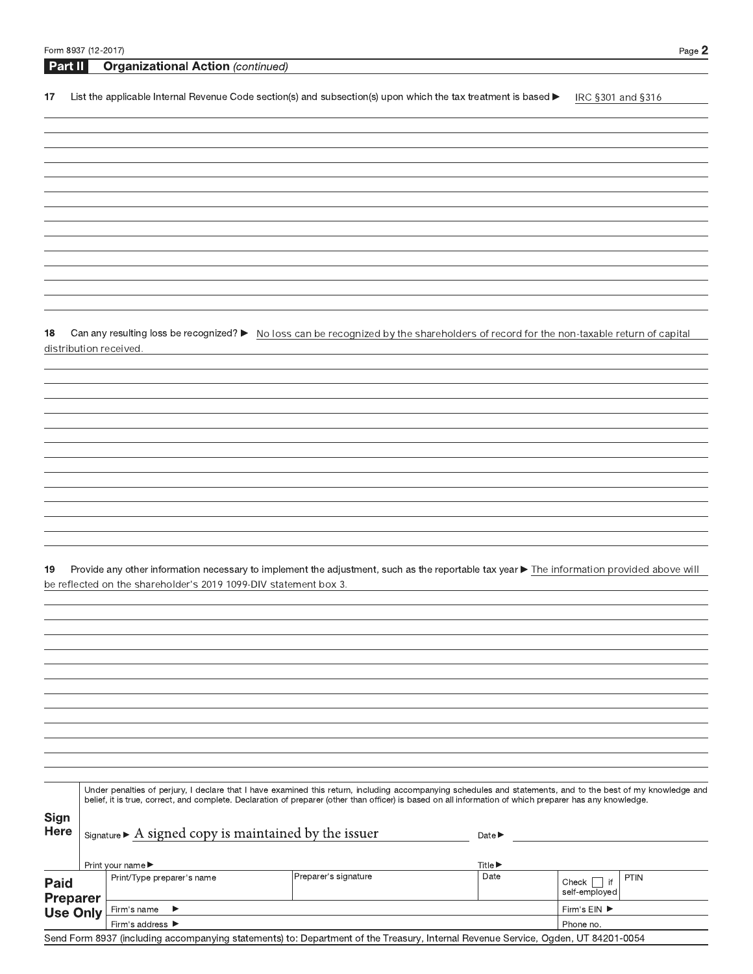| Form 8937 (12-2017) |         |                                                                                                                                                                                                                                                                                                                          |                      |                             |                               | Page 2      |
|---------------------|---------|--------------------------------------------------------------------------------------------------------------------------------------------------------------------------------------------------------------------------------------------------------------------------------------------------------------------------|----------------------|-----------------------------|-------------------------------|-------------|
|                     | Part II | <b>Organizational Action (continued)</b>                                                                                                                                                                                                                                                                                 |                      |                             |                               |             |
| 17                  |         | List the applicable Internal Revenue Code section(s) and subsection(s) upon which the tax treatment is based $\blacktriangleright$                                                                                                                                                                                       |                      |                             | IRC §301 and §316             |             |
|                     |         |                                                                                                                                                                                                                                                                                                                          |                      |                             |                               |             |
|                     |         |                                                                                                                                                                                                                                                                                                                          |                      |                             |                               |             |
|                     |         |                                                                                                                                                                                                                                                                                                                          |                      |                             |                               |             |
|                     |         |                                                                                                                                                                                                                                                                                                                          |                      |                             |                               |             |
|                     |         |                                                                                                                                                                                                                                                                                                                          |                      |                             |                               |             |
|                     |         |                                                                                                                                                                                                                                                                                                                          |                      |                             |                               |             |
|                     |         |                                                                                                                                                                                                                                                                                                                          |                      |                             |                               |             |
|                     |         |                                                                                                                                                                                                                                                                                                                          |                      |                             |                               |             |
|                     |         |                                                                                                                                                                                                                                                                                                                          |                      |                             |                               |             |
| 18                  |         | Can any resulting loss be recognized? ► No loss can be recognized by the shareholders of record for the non-taxable return of capital                                                                                                                                                                                    |                      |                             |                               |             |
|                     |         | distribution received.                                                                                                                                                                                                                                                                                                   |                      |                             |                               |             |
|                     |         |                                                                                                                                                                                                                                                                                                                          |                      |                             |                               |             |
|                     |         |                                                                                                                                                                                                                                                                                                                          |                      |                             |                               |             |
|                     |         |                                                                                                                                                                                                                                                                                                                          |                      |                             |                               |             |
|                     |         |                                                                                                                                                                                                                                                                                                                          |                      |                             |                               |             |
|                     |         |                                                                                                                                                                                                                                                                                                                          |                      |                             |                               |             |
|                     |         |                                                                                                                                                                                                                                                                                                                          |                      |                             |                               |             |
|                     |         |                                                                                                                                                                                                                                                                                                                          |                      |                             |                               |             |
|                     |         |                                                                                                                                                                                                                                                                                                                          |                      |                             |                               |             |
|                     |         |                                                                                                                                                                                                                                                                                                                          |                      |                             |                               |             |
| 19                  |         | Provide any other information necessary to implement the adjustment, such as the reportable tax year ▶ The information provided above will                                                                                                                                                                               |                      |                             |                               |             |
|                     |         | be reflected on the shareholder's 2019 1099-DIV statement box 3.                                                                                                                                                                                                                                                         |                      |                             |                               |             |
|                     |         |                                                                                                                                                                                                                                                                                                                          |                      |                             |                               |             |
|                     |         |                                                                                                                                                                                                                                                                                                                          |                      |                             |                               |             |
|                     |         |                                                                                                                                                                                                                                                                                                                          |                      |                             |                               |             |
|                     |         |                                                                                                                                                                                                                                                                                                                          |                      |                             |                               |             |
|                     |         |                                                                                                                                                                                                                                                                                                                          |                      |                             |                               |             |
|                     |         |                                                                                                                                                                                                                                                                                                                          |                      |                             |                               |             |
|                     |         |                                                                                                                                                                                                                                                                                                                          |                      |                             |                               |             |
|                     |         |                                                                                                                                                                                                                                                                                                                          |                      |                             |                               |             |
|                     |         |                                                                                                                                                                                                                                                                                                                          |                      |                             |                               |             |
|                     |         | Under penalties of perjury, I declare that I have examined this return, including accompanying schedules and statements, and to the best of my knowledge and<br>belief, it is true, correct, and complete. Declaration of preparer (other than officer) is based on all information of which preparer has any knowledge. |                      |                             |                               |             |
| Sign                |         |                                                                                                                                                                                                                                                                                                                          |                      |                             |                               |             |
| <b>Here</b>         |         | $Signature \triangleright$ A signed copy is maintained by the issuer                                                                                                                                                                                                                                                     |                      | Date $\blacktriangleright$  |                               |             |
|                     |         | Print your name ▶                                                                                                                                                                                                                                                                                                        |                      | Title $\blacktriangleright$ |                               |             |
| Paid                |         | Print/Type preparer's name                                                                                                                                                                                                                                                                                               | Preparer's signature | Date                        | Check<br>$\vert$ if           | <b>PTIN</b> |
| <b>Preparer</b>     |         | ▶                                                                                                                                                                                                                                                                                                                        |                      |                             | self-employed<br>Firm's EIN ▶ |             |
| <b>Use Only</b>     |         | Firm's name<br>Firm's address ▶                                                                                                                                                                                                                                                                                          |                      |                             | Phone no.                     |             |
|                     |         | Send Form 8937 (including accompanying statements) to: Department of the Treasury, Internal Revenue Service, Ogden, UT 84201-0054                                                                                                                                                                                        |                      |                             |                               |             |